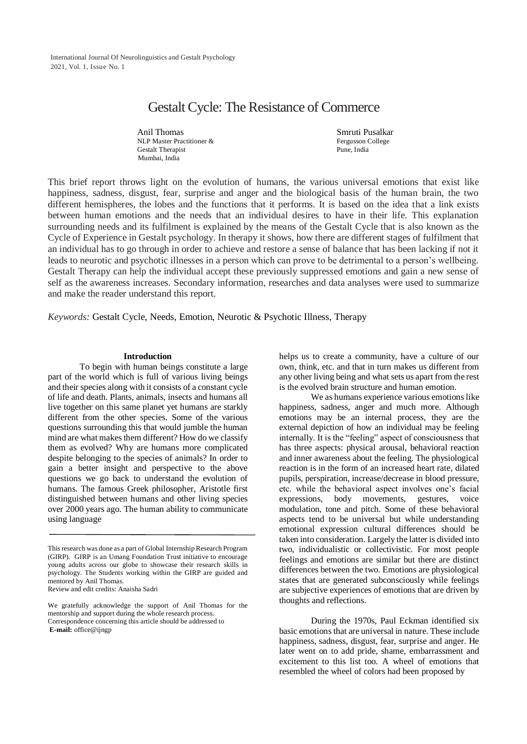# Gestalt Cycle: The Resistance of Commerce

Anil Thomas NLP Master Practitioner & Gestalt Therapist Mumbai, India

Smruti Pusalkar Fergusson College Pune, India

This brief report throws light on the evolution of humans, the various universal emotions that exist like happiness, sadness, disgust, fear, surprise and anger and the biological basis of the human brain, the two different hemispheres, the lobes and the functions that it performs. It is based on the idea that a link exists between human emotions and the needs that an individual desires to have in their life. This explanation surrounding needs and its fulfilment is explained by the means of the Gestalt Cycle that is also known as the Cycle of Experience in Gestalt psychology. In therapy it shows, how there are different stages of fulfilment that an individual has to go through in order to achieve and restore a sense of balance that has been lacking if not it leads to neurotic and psychotic illnesses in a person which can prove to be detrimental to a person's wellbeing. Gestalt Therapy can help the individual accept these previously suppressed emotions and gain a new sense of self as the awareness increases. Secondary information, researches and data analyses were used to summarize and make the reader understand this report.

*Keywords:* Gestalt Cycle, Needs, Emotion, Neurotic & Psychotic Illness, Therapy

#### **Introduction**

To begin with human beings constitute a large part of the world which is full of various living beings and their species along with it consists of a constant cycle of life and death. Plants, animals, insects and humans all live together on this same planet yet humans are starkly different from the other species. Some of the various questions surrounding this that would jumble the human mind are what makes them different? How do we classify them as evolved? Why are humans more complicated despite belonging to the species of animals? In order to gain a better insight and perspective to the above questions we go back to understand the evolution of humans. The famous Greek philosopher, Aristotle first distinguished between humans and other living species over 2000 years ago. The human ability to communicate using language

Review and edit credits: Anaisha Sadri

We gratefully acknowledge the support of Anil Thomas for the mentorship and support during the whole research process. Correspondence concerning this article should be addressed to **E-mail:** office@ijngp

helps us to create a community, have a culture of our own, think, etc. and that in turn makes us different from any other living being and what sets us apart from the rest is the evolved brain structure and human emotion.

We as humans experience various emotions like happiness, sadness, anger and much more. Although emotions may be an internal process, they are the external depiction of how an individual may be feeling internally. It is the "feeling" aspect of consciousness that has three aspects: physical arousal, behavioral reaction and inner awareness about the feeling. The physiological reaction is in the form of an increased heart rate, dilated pupils, perspiration, increase/decrease in blood pressure, etc. while the behavioral aspect involves one's facial expressions, body movements, gestures, voice modulation, tone and pitch. Some of these behavioral aspects tend to be universal but while understanding emotional expression cultural differences should be taken into consideration. Largely the latter is divided into two, individualistic or collectivistic. For most people feelings and emotions are similar but there are distinct differences between the two. Emotions are physiological states that are generated subconsciously while feelings are subjective experiences of emotions that are driven by thoughts and reflections.

During the 1970s, Paul Eckman identified six basic emotions that are universal in nature. These include happiness, sadness, disgust, fear, surprise and anger. He later went on to add pride, shame, embarrassment and excitement to this list too. A wheel of emotions that resembled the wheel of colors had been proposed by

Thisresearch was done as a part of Global Internship Research Program (GIRP). GIRP is an Umang Foundation Trust initiative to encourage young adults across our globe to showcase their research skills in psychology. The Students working within the GIRP are guided and mentored by Anil Thomas.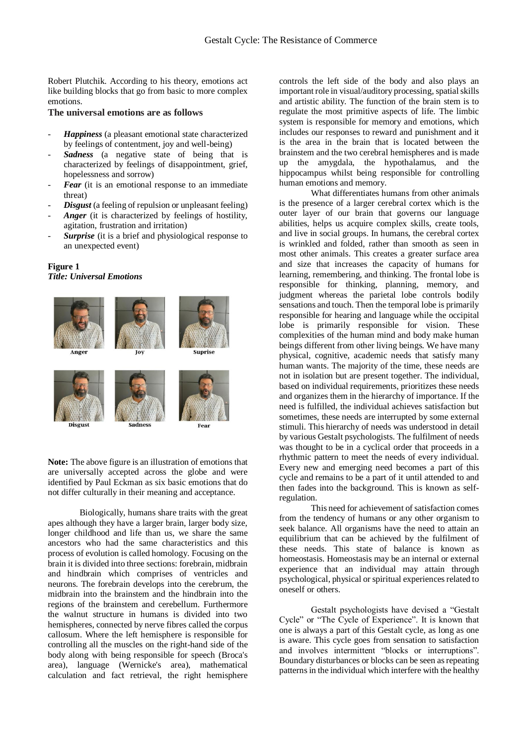Robert Plutchik. According to his theory, emotions act like building blocks that go from basic to more complex emotions.

# **The universal emotions are as follows**

- *Happiness* (a pleasant emotional state characterized by feelings of contentment, joy and well-being)
- *Sadness* (a negative state of being that is characterized by feelings of disappointment, grief, hopelessness and sorrow)
- Fear (it is an emotional response to an immediate threat)
- *Disgust* (a feeling of repulsion or unpleasant feeling)
- Anger (it is characterized by feelings of hostility, agitation, frustration and irritation)
- **Surprise** (it is a brief and physiological response to an unexpected event)

# **Figure 1** *Title: Universal Emotions*



**Sadness** 

**Disgust** 

**Note:** The above figure is an illustration of emotions that are universally accepted across the globe and were identified by Paul Eckman as six basic emotions that do not differ culturally in their meaning and acceptance.

Biologically, humans share traits with the great apes although they have a larger brain, larger body size, longer childhood and life than us, we share the same ancestors who had the same characteristics and this process of evolution is called homology. Focusing on the brain it is divided into three sections: forebrain, midbrain and hindbrain which comprises of ventricles and neurons. The forebrain develops into the cerebrum, the midbrain into the brainstem and the hindbrain into the regions of the brainstem and cerebellum. Furthermore the walnut structure in humans is divided into two hemispheres, connected by nerve fibres called the corpus callosum. Where the left hemisphere is responsible for controlling all the muscles on the right-hand side of the body along with being responsible for speech (Broca's area), language (Wernicke's area), mathematical calculation and fact retrieval, the right hemisphere

controls the left side of the body and also plays an important role in visual/auditory processing, spatial skills and artistic ability. The function of the brain stem is to regulate the most primitive aspects of life. The limbic system is responsible for memory and emotions, which includes our responses to reward and punishment and it is the area in the brain that is located between the brainstem and the two cerebral hemispheres and is made up the amygdala, the hypothalamus, and the hippocampus whilst being responsible for controlling human emotions and memory.

What differentiates humans from other animals is the presence of a larger cerebral cortex which is the outer layer of our brain that governs our language abilities, helps us acquire complex skills, create tools, and live in social groups. In humans, the cerebral cortex is wrinkled and folded, rather than smooth as seen in most other animals. This creates a greater surface area and size that increases the capacity of humans for learning, remembering, and thinking. The frontal lobe is responsible for thinking, planning, memory, and judgment whereas the parietal lobe controls bodily sensations and touch. Then the temporal lobe is primarily responsible for hearing and language while the occipital lobe is primarily responsible for vision. These complexities of the human mind and body make human beings different from other living beings. We have many physical, cognitive, academic needs that satisfy many human wants. The majority of the time, these needs are not in isolation but are present together. The individual, based on individual requirements, prioritizes these needs and organizes them in the hierarchy of importance. If the need is fulfilled, the individual achieves satisfaction but sometimes, these needs are interrupted by some external stimuli. This hierarchy of needs was understood in detail by various Gestalt psychologists. The fulfilment of needs was thought to be in a cyclical order that proceeds in a rhythmic pattern to meet the needs of every individual. Every new and emerging need becomes a part of this cycle and remains to be a part of it until attended to and then fades into the background. This is known as selfregulation.

This need for achievement of satisfaction comes from the tendency of humans or any other organism to seek balance. All organisms have the need to attain an equilibrium that can be achieved by the fulfilment of these needs. This state of balance is known as homeostasis. Homeostasis may be an internal or external experience that an individual may attain through psychological, physical or spiritual experiences related to oneself or others.

Gestalt psychologists have devised a "Gestalt Cycle" or "The Cycle of Experience". It is known that one is always a part of this Gestalt cycle, as long as one is aware. This cycle goes from sensation to satisfaction and involves intermittent "blocks or interruptions". Boundary disturbances or blocks can be seen as repeating patterns in the individual which interfere with the healthy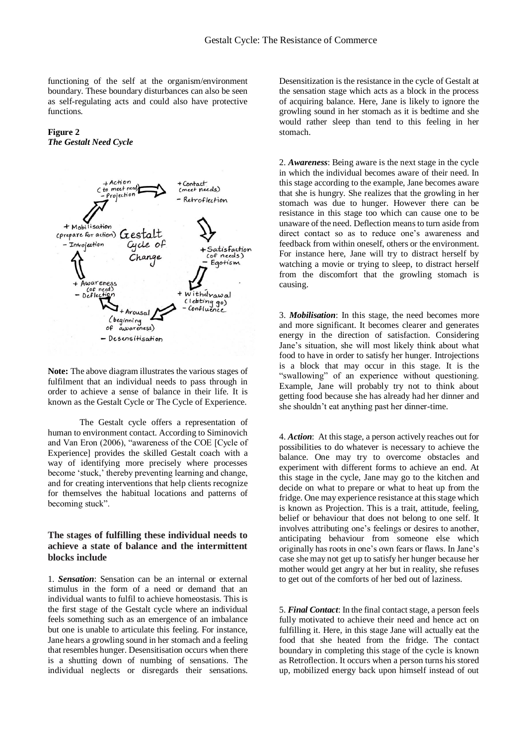functioning of the self at the organism/environment boundary. These boundary disturbances can also be seen as self-regulating acts and could also have protective functions.

## **Figure 2** *The Gestalt Need Cycle*



**Note:** The above diagram illustrates the various stages of fulfilment that an individual needs to pass through in order to achieve a sense of balance in their life. It is known as the Gestalt Cycle or The Cycle of Experience.

The Gestalt cycle offers a representation of human to environment contact. According to Siminovich and Van Eron (2006), "awareness of the COE [Cycle of Experience] provides the skilled Gestalt coach with a way of identifying more precisely where processes become 'stuck,' thereby preventing learning and change, and for creating interventions that help clients recognize for themselves the habitual locations and patterns of becoming stuck".

# **The stages of fulfilling these individual needs to achieve a state of balance and the intermittent blocks include**

1. *Sensation*: Sensation can be an internal or external stimulus in the form of a need or demand that an individual wants to fulfil to achieve homeostasis. This is the first stage of the Gestalt cycle where an individual feels something such as an emergence of an imbalance but one is unable to articulate this feeling. For instance, Jane hears a growling sound in her stomach and a feeling that resembles hunger. Desensitisation occurs when there is a shutting down of numbing of sensations. The individual neglects or disregards their sensations.

Desensitization is the resistance in the cycle of Gestalt at the sensation stage which acts as a block in the process of acquiring balance. Here, Jane is likely to ignore the growling sound in her stomach as it is bedtime and she would rather sleep than tend to this feeling in her stomach.

2. *Awareness*: Being aware is the next stage in the cycle in which the individual becomes aware of their need. In this stage according to the example, Jane becomes aware that she is hungry. She realizes that the growling in her stomach was due to hunger. However there can be resistance in this stage too which can cause one to be unaware of the need. Deflection means to turn aside from direct contact so as to reduce one's awareness and feedback from within oneself, others or the environment. For instance here, Jane will try to distract herself by watching a movie or trying to sleep, to distract herself from the discomfort that the growling stomach is causing.

3. *Mobilisation*: In this stage, the need becomes more and more significant. It becomes clearer and generates energy in the direction of satisfaction. Considering Jane's situation, she will most likely think about what food to have in order to satisfy her hunger. Introjections is a block that may occur in this stage. It is the "swallowing" of an experience without questioning. Example, Jane will probably try not to think about getting food because she has already had her dinner and she shouldn't eat anything past her dinner-time.

4. *Action*: At this stage, a person actively reaches out for possibilities to do whatever is necessary to achieve the balance. One may try to overcome obstacles and experiment with different forms to achieve an end. At this stage in the cycle, Jane may go to the kitchen and decide on what to prepare or what to heat up from the fridge. One may experience resistance at this stage which is known as Projection. This is a trait, attitude, feeling, belief or behaviour that does not belong to one self. It involves attributing one's feelings or desires to another, anticipating behaviour from someone else which originally has roots in one's own fears or flaws. In Jane's case she may not get up to satisfy her hunger because her mother would get angry at her but in reality, she refuses to get out of the comforts of her bed out of laziness.

5. *Final Contact*: In the final contact stage, a person feels fully motivated to achieve their need and hence act on fulfilling it. Here, in this stage Jane will actually eat the food that she heated from the fridge. The contact boundary in completing this stage of the cycle is known as Retroflection. It occurs when a person turns his stored up, mobilized energy back upon himself instead of out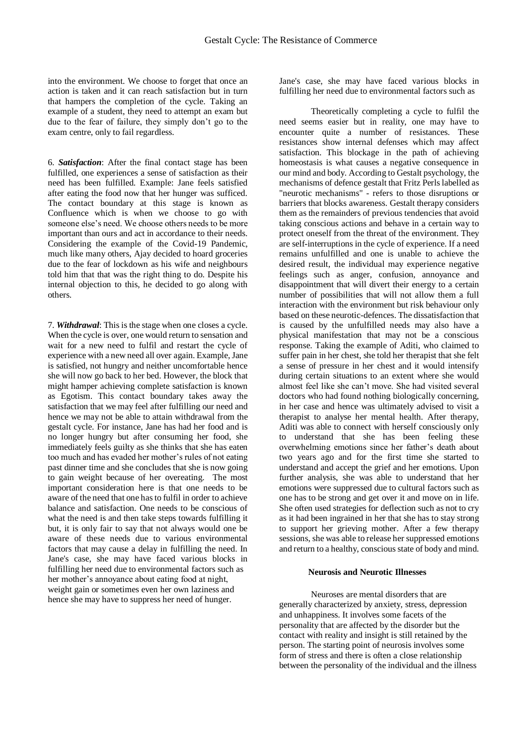into the environment. We choose to forget that once an action is taken and it can reach satisfaction but in turn that hampers the completion of the cycle. Taking an example of a student, they need to attempt an exam but due to the fear of failure, they simply don't go to the exam centre, only to fail regardless.

6. *Satisfaction*: After the final contact stage has been fulfilled, one experiences a sense of satisfaction as their need has been fulfilled. Example: Jane feels satisfied after eating the food now that her hunger was sufficed. The contact boundary at this stage is known as Confluence which is when we choose to go with someone else's need. We choose others needs to be more important than ours and act in accordance to their needs. Considering the example of the Covid-19 Pandemic, much like many others, Ajay decided to hoard groceries due to the fear of lockdown as his wife and neighbours told him that that was the right thing to do. Despite his internal objection to this, he decided to go along with others.

7. *Withdrawal*: This is the stage when one closes a cycle. When the cycle is over, one would return to sensation and wait for a new need to fulfil and restart the cycle of experience with a new need all over again. Example, Jane is satisfied, not hungry and neither uncomfortable hence she will now go back to her bed. However, the block that might hamper achieving complete satisfaction is known as Egotism. This contact boundary takes away the satisfaction that we may feel after fulfilling our need and hence we may not be able to attain withdrawal from the gestalt cycle. For instance, Jane has had her food and is no longer hungry but after consuming her food, she immediately feels guilty as she thinks that she has eaten too much and has evaded her mother's rules of not eating past dinner time and she concludes that she is now going to gain weight because of her overeating. The most important consideration here is that one needs to be aware of the need that one has to fulfil in order to achieve balance and satisfaction. One needs to be conscious of what the need is and then take steps towards fulfilling it but, it is only fair to say that not always would one be aware of these needs due to various environmental factors that may cause a delay in fulfilling the need. In Jane's case, she may have faced various blocks in fulfilling her need due to environmental factors such as her mother's annoyance about eating food at night, weight gain or sometimes even her own laziness and hence she may have to suppress her need of hunger.

Jane's case, she may have faced various blocks in fulfilling her need due to environmental factors such as

Theoretically completing a cycle to fulfil the need seems easier but in reality, one may have to encounter quite a number of resistances. These resistances show internal defenses which may affect satisfaction. This blockage in the path of achieving homeostasis is what causes a negative consequence in our mind and body. According to Gestalt psychology, the mechanisms of defence gestalt that Fritz Perls labelled as "neurotic mechanisms" - refers to those disruptions or barriers that blocks awareness. Gestalt therapy considers them as the remainders of previous tendencies that avoid taking conscious actions and behave in a certain way to protect oneself from the threat of the environment. They are self-interruptions in the cycle of experience. If a need remains unfulfilled and one is unable to achieve the desired result, the individual may experience negative feelings such as anger, confusion, annoyance and disappointment that will divert their energy to a certain number of possibilities that will not allow them a full interaction with the environment but risk behaviour only based on these neurotic-defences. The dissatisfaction that is caused by the unfulfilled needs may also have a physical manifestation that may not be a conscious response. Taking the example of Aditi, who claimed to suffer pain in her chest, she told her therapist that she felt a sense of pressure in her chest and it would intensify during certain situations to an extent where she would almost feel like she can't move. She had visited several doctors who had found nothing biologically concerning, in her case and hence was ultimately advised to visit a therapist to analyse her mental health. After therapy, Aditi was able to connect with herself consciously only to understand that she has been feeling these overwhelming emotions since her father's death about two years ago and for the first time she started to understand and accept the grief and her emotions. Upon further analysis, she was able to understand that her emotions were suppressed due to cultural factors such as one has to be strong and get over it and move on in life. She often used strategies for deflection such as not to cry as it had been ingrained in her that she has to stay strong to support her grieving mother. After a few therapy sessions, she was able to release her suppressed emotions and return to a healthy, conscious state of body and mind.

### **Neurosis and Neurotic Illnesses**

Neuroses are mental disorders that are generally characterized by anxiety, stress, depression and unhappiness. It involves some facets of the personality that are affected by the disorder but the contact with reality and insight is still retained by the person. The starting point of neurosis involves some form of stress and there is often a close relationship between the personality of the individual and the illness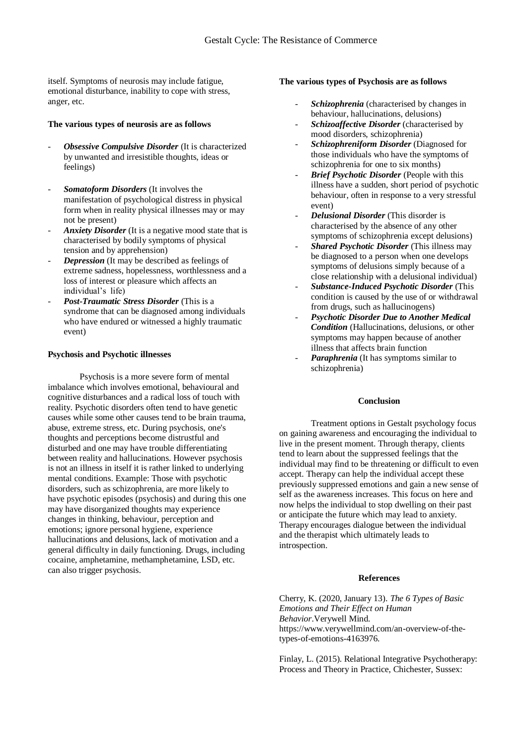itself. Symptoms of neurosis may include fatigue, emotional disturbance, inability to cope with stress, anger, etc.

## **The various types of neurosis are as follows**

- *Obsessive Compulsive Disorder* (It is characterized by unwanted and irresistible thoughts, ideas or feelings)
- *Somatoform Disorders* (It involves the manifestation of psychological distress in physical form when in reality physical illnesses may or may not be present)
- *Anxiety Disorder* (It is a negative mood state that is characterised by bodily symptoms of physical tension and by apprehension)
- *Depression* (It may be described as feelings of extreme sadness, hopelessness, worthlessness and a loss of interest or pleasure which affects an individual's life)
- *Post-Traumatic Stress Disorder* (This is a syndrome that can be diagnosed among individuals who have endured or witnessed a highly traumatic event)

## **Psychosis and Psychotic illnesses**

Psychosis is a more severe form of mental imbalance which involves emotional, behavioural and cognitive disturbances and a radical loss of touch with reality. Psychotic disorders often tend to have genetic causes while some other causes tend to be brain trauma, abuse, extreme stress, etc. During psychosis, one's thoughts and perceptions become distrustful and disturbed and one may have trouble differentiating between reality and hallucinations. However psychosis is not an illness in itself it is rather linked to underlying mental conditions. Example: Those with psychotic disorders, such as schizophrenia, are more likely to have psychotic episodes (psychosis) and during this one may have disorganized thoughts may experience changes in thinking, behaviour, perception and emotions; ignore personal hygiene, experience hallucinations and delusions, lack of motivation and a general difficulty in daily functioning. Drugs, including cocaine, amphetamine, methamphetamine, LSD, etc. can also trigger psychosis.

## **The various types of Psychosis are as follows**

- *Schizophrenia* (characterised by changes in behaviour, hallucinations, delusions)
- *Schizoaffective Disorder* (characterised by mood disorders, schizophrenia)
- *Schizophreniform Disorder* (Diagnosed for those individuals who have the symptoms of schizophrenia for one to six months)
- *Brief Psychotic Disorder* (People with this illness have a sudden, short period of psychotic behaviour, often in response to a very stressful event)
- *Delusional Disorder* (This disorder is characterised by the absence of any other symptoms of schizophrenia except delusions)
- *Shared Psychotic Disorder* (This illness may be diagnosed to a person when one develops symptoms of delusions simply because of a close relationship with a delusional individual)
- *Substance-Induced Psychotic Disorder* (This condition is caused by the use of or withdrawal from drugs, such as hallucinogens)
- *Psychotic Disorder Due to Another Medical Condition* (Hallucinations, delusions, or other symptoms may happen because of another illness that affects brain function
- Paraphrenia<sup>(It has symptoms similar to</sup> schizophrenia)

#### **Conclusion**

Treatment options in Gestalt psychology focus on gaining awareness and encouraging the individual to live in the present moment. Through therapy, clients tend to learn about the suppressed feelings that the individual may find to be threatening or difficult to even accept. Therapy can help the individual accept these previously suppressed emotions and gain a new sense of self as the awareness increases. This focus on here and now helps the individual to stop dwelling on their past or anticipate the future which may lead to anxiety. Therapy encourages dialogue between the individual and the therapist which ultimately leads to introspection.

#### **References**

Cherry, K. (2020, January 13). *The 6 Types of Basic Emotions and Their Effect on Human Behavior*.Verywell Mind. https://www.verywellmind.com/an-overview-of-thetypes-of-emotions-4163976.

Finlay, L. (2015). Relational Integrative Psychotherapy: Process and Theory in Practice, Chichester, Sussex: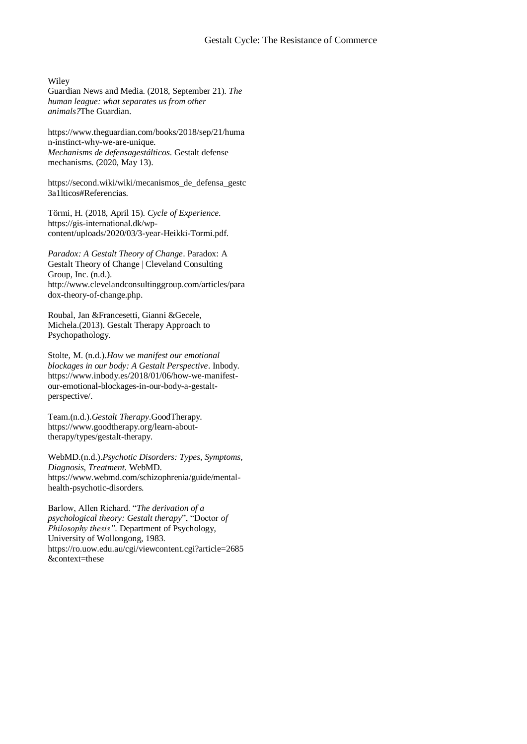Wiley

Guardian News and Media. (2018, September 21). *The human league: what separates us from other animals?*The Guardian.

https://www.theguardian.com/books/2018/sep/21/huma n-instinct-why-we-are-unique. *Mechanisms de defensagestálticos*. Gestalt defense mechanisms. (2020, May 13).

https://second.wiki/wiki/mecanismos\_de\_defensa\_gestc 3a1lticos#Referencias.

Törmi, H. (2018, April 15). *Cycle of Experience*. https://gis-international.dk/wpcontent/uploads/2020/03/3-year-Heikki-Tormi.pdf.

*Paradox: A Gestalt Theory of Change*. Paradox: A Gestalt Theory of Change | Cleveland Consulting Group, Inc. (n.d.). http://www.clevelandconsultinggroup.com/articles/para dox-theory-of-change.php.

Roubal, Jan &Francesetti, Gianni &Gecele, Michela.(2013). Gestalt Therapy Approach to Psychopathology.

Stolte, M. (n.d.).*How we manifest our emotional blockages in our body: A Gestalt Perspective*. Inbody. https://www.inbody.es/2018/01/06/how-we-manifestour-emotional-blockages-in-our-body-a-gestaltperspective/.

Team.(n.d.).*Gestalt Therapy*.GoodTherapy. https://www.goodtherapy.org/learn-abouttherapy/types/gestalt-therapy.

WebMD.(n.d.).*Psychotic Disorders: Types, Symptoms, Diagnosis, Treatment*. WebMD. https://www.webmd.com/schizophrenia/guide/mentalhealth-psychotic-disorders.

Barlow, Allen Richard. "*The derivation of a psychological theory: Gestalt therapy*", "Doctor *of Philosophy thesis"*. Department of Psychology, University of Wollongong, 1983. https://ro.uow.edu.au/cgi/viewcontent.cgi?article=2685 &context=these